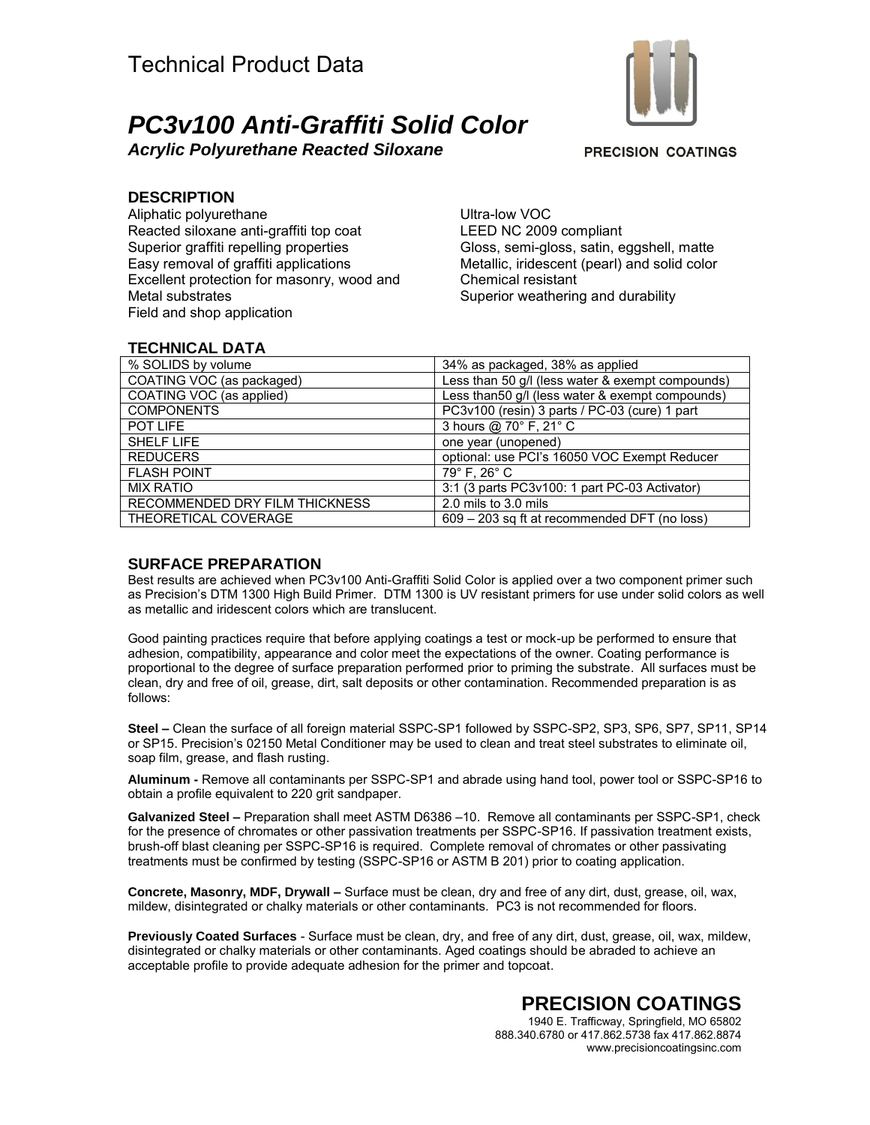## *PC3v100 Anti-Graffiti Solid Color*

*Acrylic Polyurethane Reacted Siloxane*



**PRECISION COATINGS** 

#### **DESCRIPTION**

Aliphatic polyurethane Reacted siloxane anti-graffiti top coat Superior graffiti repelling properties Easy removal of graffiti applications Excellent protection for masonry, wood and Metal substrates Field and shop application

Ultra-low VOC LEED NC 2009 compliant Gloss, semi-gloss, satin, eggshell, matte Metallic, iridescent (pearl) and solid color Chemical resistant Superior weathering and durability

### **TECHNICAL DATA**

| % SOLIDS by volume             | 34% as packaged, 38% as applied                  |
|--------------------------------|--------------------------------------------------|
| COATING VOC (as packaged)      | Less than 50 g/l (less water & exempt compounds) |
| COATING VOC (as applied)       | Less than 50 g/l (less water & exempt compounds) |
| <b>COMPONENTS</b>              | PC3v100 (resin) 3 parts / PC-03 (cure) 1 part    |
| POT LIFE                       | 3 hours @ 70° F, 21° C                           |
| <b>SHELF LIFE</b>              | one year (unopened)                              |
| <b>REDUCERS</b>                | optional: use PCI's 16050 VOC Exempt Reducer     |
| <b>FLASH POINT</b>             | 79° F, 26° C                                     |
| <b>MIX RATIO</b>               | 3:1 (3 parts PC3v100: 1 part PC-03 Activator)    |
| RECOMMENDED DRY FILM THICKNESS | 2.0 mils to 3.0 mils                             |
| THEORETICAL COVERAGE           | 609 - 203 sq ft at recommended DFT (no loss)     |

#### **SURFACE PREPARATION**

Best results are achieved when PC3v100 Anti-Graffiti Solid Color is applied over a two component primer such as Precision's DTM 1300 High Build Primer. DTM 1300 is UV resistant primers for use under solid colors as well as metallic and iridescent colors which are translucent.

Good painting practices require that before applying coatings a test or mock-up be performed to ensure that adhesion, compatibility, appearance and color meet the expectations of the owner. Coating performance is proportional to the degree of surface preparation performed prior to priming the substrate. All surfaces must be clean, dry and free of oil, grease, dirt, salt deposits or other contamination. Recommended preparation is as follows:

**Steel –** Clean the surface of all foreign material SSPC-SP1 followed by SSPC-SP2, SP3, SP6, SP7, SP11, SP14 or SP15. Precision's 02150 Metal Conditioner may be used to clean and treat steel substrates to eliminate oil, soap film, grease, and flash rusting.

**Aluminum -** Remove all contaminants per SSPC-SP1 and abrade using hand tool, power tool or SSPC-SP16 to obtain a profile equivalent to 220 grit sandpaper.

**Galvanized Steel –** Preparation shall meet ASTM D6386 –10. Remove all contaminants per SSPC-SP1, check for the presence of chromates or other passivation treatments per SSPC-SP16. If passivation treatment exists, brush-off blast cleaning per SSPC-SP16 is required. Complete removal of chromates or other passivating treatments must be confirmed by testing (SSPC-SP16 or ASTM B 201) prior to coating application.

**Concrete, Masonry, MDF, Drywall –** Surface must be clean, dry and free of any dirt, dust, grease, oil, wax, mildew, disintegrated or chalky materials or other contaminants. PC3 is not recommended for floors.

**Previously Coated Surfaces** - Surface must be clean, dry, and free of any dirt, dust, grease, oil, wax, mildew, disintegrated or chalky materials or other contaminants. Aged coatings should be abraded to achieve an acceptable profile to provide adequate adhesion for the primer and topcoat.

## **PRECISION COATINGS**

1940 E. Trafficway, Springfield, MO 65802 888.340.6780 or 417.862.5738 fax 417.862.8874 www.precisioncoatingsinc.com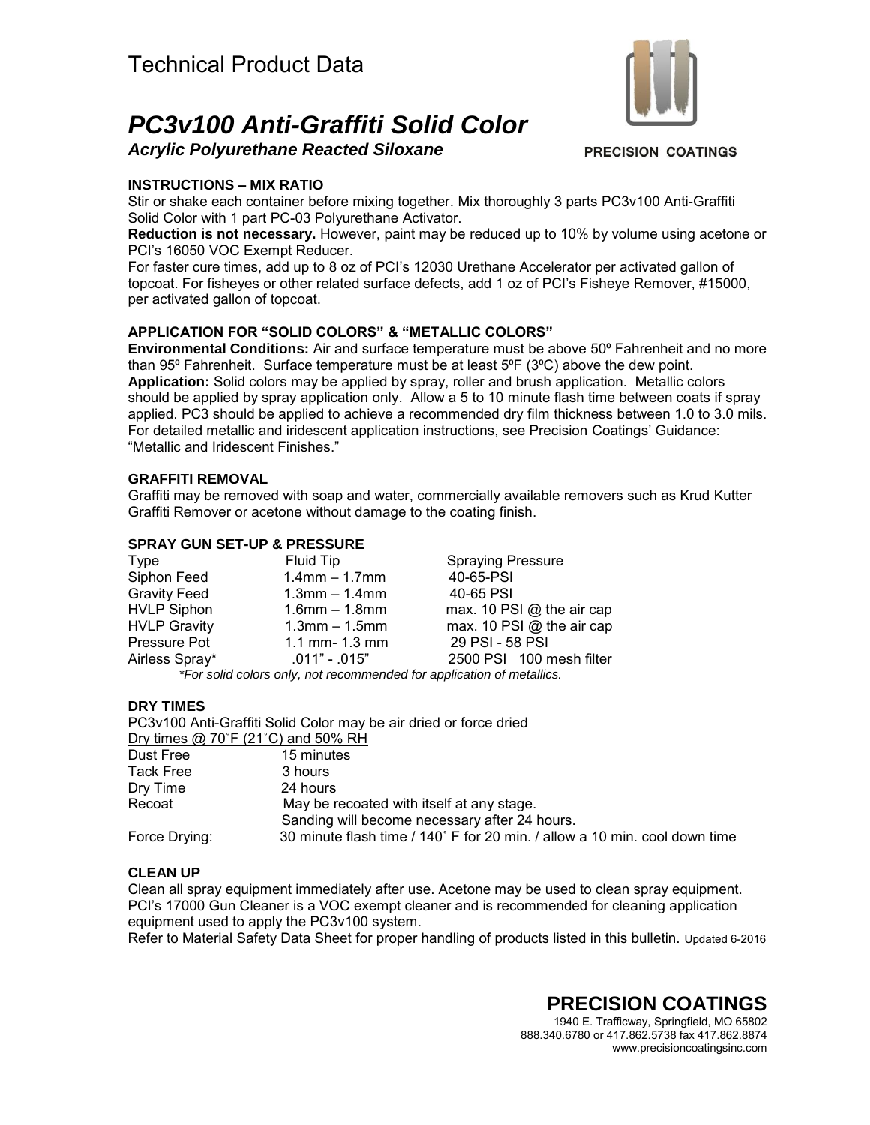# *PC3v100 Anti-Graffiti Solid Color*

*Acrylic Polyurethane Reacted Siloxane*



**PRECISION COATINGS** 

#### **INSTRUCTIONS – MIX RATIO**

Stir or shake each container before mixing together. Mix thoroughly 3 parts PC3v100 Anti-Graffiti Solid Color with 1 part PC-03 Polyurethane Activator.

**Reduction is not necessary.** However, paint may be reduced up to 10% by volume using acetone or PCI's 16050 VOC Exempt Reducer.

For faster cure times, add up to 8 oz of PCI's 12030 Urethane Accelerator per activated gallon of topcoat. For fisheyes or other related surface defects, add 1 oz of PCI's Fisheye Remover, #15000, per activated gallon of topcoat.

#### **APPLICATION FOR "SOLID COLORS" & "METALLIC COLORS"**

**Environmental Conditions:** Air and surface temperature must be above 50<sup>°</sup> Fahrenheit and no more than 95 $^{\circ}$  Fahrenheit. Surface temperature must be at least 5 $^{\circ}$ F (3 $^{\circ}$ C) above the dew point. **Application:** Solid colors may be applied by spray, roller and brush application. Metallic colors should be applied by spray application only. Allow a 5 to 10 minute flash time between coats if spray applied. PC3 should be applied to achieve a recommended dry film thickness between 1.0 to 3.0 mils. For detailed metallic and iridescent application instructions, see Precision Coatings' Guidance: "Metallic and Iridescent Finishes."

#### **GRAFFITI REMOVAL**

Graffiti may be removed with soap and water, commercially available removers such as Krud Kutter Graffiti Remover or acetone without damage to the coating finish.

#### **SPRAY GUN SET-UP & PRESSURE**

| <u>Type</u>         | <b>Fluid Tip</b>    | <b>Spraying Pressure</b>    |
|---------------------|---------------------|-----------------------------|
| Siphon Feed         | $1.4$ mm $- 1.7$ mm | 40-65-PSI                   |
| <b>Gravity Feed</b> | $1.3$ mm $-1.4$ mm  | 40-65 PSI                   |
| <b>HVLP Siphon</b>  | $1.6$ mm $- 1.8$ mm | max. 10 PSI $@$ the air cap |
| <b>HVLP Gravity</b> | $1.3$ mm $-1.5$ mm  | max. 10 PSI $@$ the air cap |
| Pressure Pot        | 1.1 mm- $1.3$ mm    | 29 PSI - 58 PSI             |
| Airless Spray*      | .011" - .015"       | 2500 PSI 100 mesh filter    |

*\*For solid colors only, not recommended for application of metallics.*

#### **DRY TIMES**

PC3v100 Anti-Graffiti Solid Color may be air dried or force dried Dry times @ 70˚F (21˚C) and 50% RH Dust Free 15 minutes Tack Free 3 hours<br>Drv Time 24 hours Dry Time<br>Recoat May be recoated with itself at any stage. Sanding will become necessary after 24 hours.<br>Force Drying: 30 minute flash time / 140° F for 20 min. / allow 30 minute flash time /  $140^\circ$  F for 20 min. / allow a 10 min. cool down time

#### **CLEAN UP**

Clean all spray equipment immediately after use. Acetone may be used to clean spray equipment. PCI's 17000 Gun Cleaner is a VOC exempt cleaner and is recommended for cleaning application equipment used to apply the PC3v100 system.

Refer to Material Safety Data Sheet for proper handling of products listed in this bulletin. Updated 6-2016

## **PRECISION COATINGS**

1940 E. Trafficway, Springfield, MO 65802 888.340.6780 or 417.862.5738 fax 417.862.8874 www.precisioncoatingsinc.com